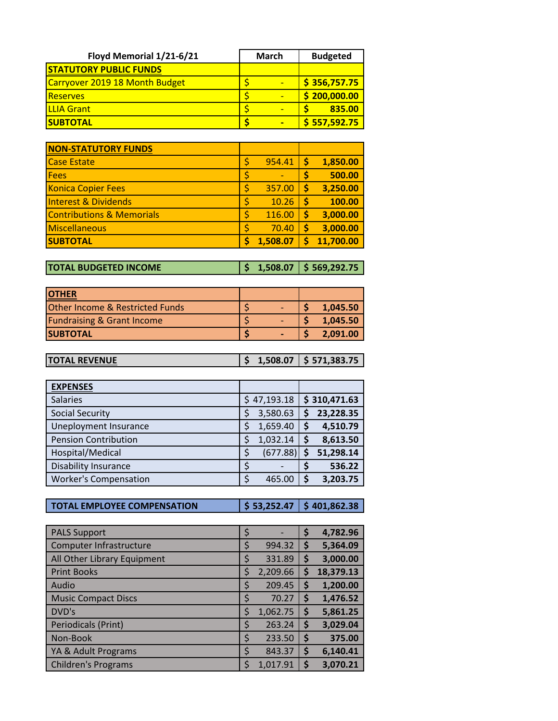| Floyd Memorial 1/21-6/21       | <b>March</b> | <b>Budgeted</b> |
|--------------------------------|--------------|-----------------|
| <b>STATUTORY PUBLIC FUNDS</b>  |              |                 |
| Carryover 2019 18 Month Budget |              | \$356,757.75    |
| <b>Reserves</b>                |              | \$200,000.00    |
| <b>ILLIA Grant</b>             | -            | 835.00          |
| <b>SUBTOTAL</b>                |              | \$557,592.75    |

| <b>NON-STATUTORY FUNDS</b>           |          |    |           |
|--------------------------------------|----------|----|-----------|
| <b>Case Estate</b>                   | 954.41   | Ś  | 1,850.00  |
| <b>Fees</b>                          |          | \$ | 500.00    |
| <b>Konica Copier Fees</b>            | 357.00   | Ś  | 3,250.00  |
| <b>Interest &amp; Dividends</b>      | 10.26    | Ś  | 100.00    |
| <b>Contributions &amp; Memorials</b> | 116.00   | Ś  | 3,000.00  |
| Miscellaneous                        | 70.40    | \$ | 3,000.00  |
| <b>SUBTOTAL</b>                      | 1,508.07 |    | 11,700.00 |

**TOTAL BUDGETED INCOME \$ 1,508.07 \$ 569,292.75**

| <b>IOTHER</b>                              |  |          |
|--------------------------------------------|--|----------|
| <b>Other Income &amp; Restricted Funds</b> |  | 1,045.50 |
| <b>Fundraising &amp; Grant Income</b>      |  | 1,045.50 |
| <b>SUBTOTAL</b>                            |  | 2.091.00 |

| <b>ITOTAL REVENUE</b> |  | $\vert$ \$ 1,508.07 $\vert$ \$ 571,383.75 |
|-----------------------|--|-------------------------------------------|
|                       |  |                                           |

| <b>EXPENSES</b>              |    |             |    |              |
|------------------------------|----|-------------|----|--------------|
| <b>Salaries</b>              |    | \$47,193.18 |    | \$310,471.63 |
| <b>Social Security</b>       | Ś  | 3,580.63    | S  | 23,228.35    |
| Uneployment Insurance        | \$ | 1,659.40    | \$ | 4,510.79     |
| <b>Pension Contribution</b>  | Ś  | 1,032.14    | S  | 8,613.50     |
| Hospital/Medical             | \$ | (677.88)    | Ś  | 51,298.14    |
| <b>Disability Insurance</b>  | \$ |             | \$ | 536.22       |
| <b>Worker's Compensation</b> | \$ | 465.00      |    | 3,203.75     |

**TOTAL EMPLOYEE COMPENSATION \$ 53,252.47 \$ 401,862.38**

| <b>PALS Support</b>         | \$ |          | \$ | 4,782.96  |
|-----------------------------|----|----------|----|-----------|
| Computer Infrastructure     | \$ | 994.32   | \$ | 5,364.09  |
| All Other Library Equipment | \$ | 331.89   | Ş  | 3,000.00  |
| <b>Print Books</b>          | \$ | 2,209.66 | \$ | 18,379.13 |
| Audio                       | \$ | 209.45   | \$ | 1,200.00  |
| <b>Music Compact Discs</b>  | \$ | 70.27    | \$ | 1,476.52  |
| DVD's                       | \$ | 1,062.75 | \$ | 5,861.25  |
| Periodicals (Print)         | \$ | 263.24   | \$ | 3,029.04  |
| Non-Book                    | \$ | 233.50   | \$ | 375.00    |
| YA & Adult Programs         | \$ | 843.37   | \$ | 6,140.41  |
| <b>Children's Programs</b>  | Ś  | 1,017.91 | Ŝ  | 3,070.21  |